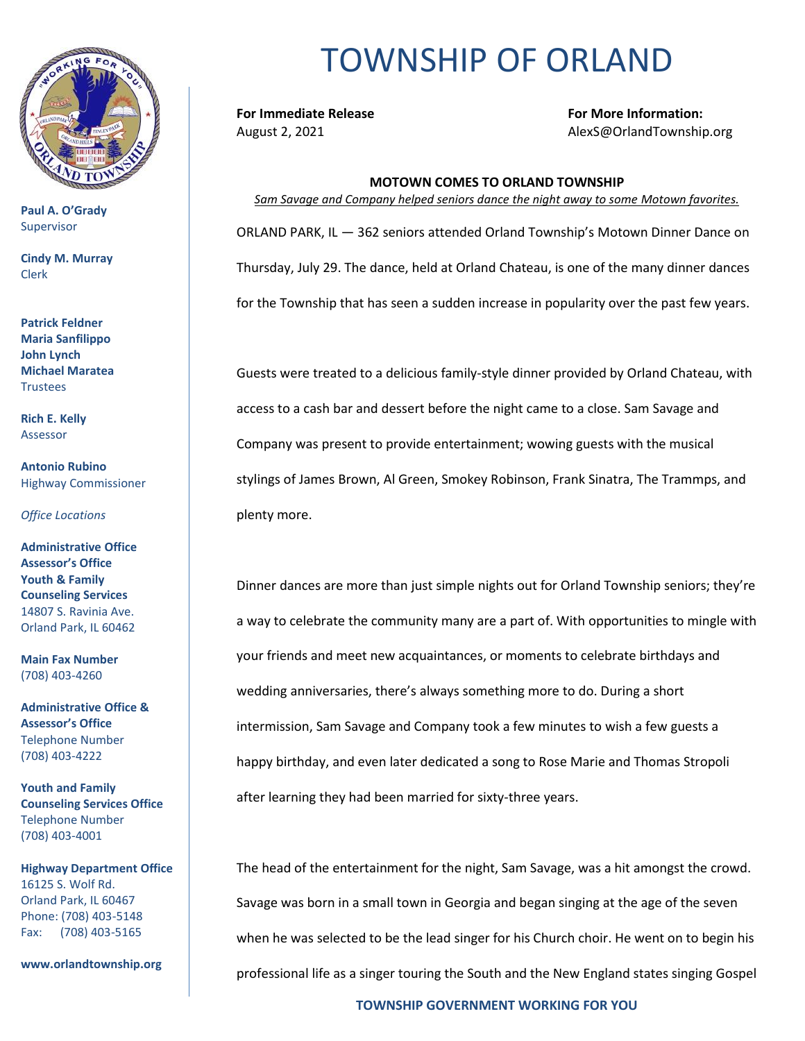

**Paul A. O'Grady** Supervisor

**Cindy M. Murray** Clerk

**Patrick Feldner Maria Sanfilippo John Lynch Michael Maratea Trustees** 

**Rich E. Kelly** Assessor

**Antonio Rubino** Highway Commissioner

*Office Locations*

**Administrative Office Assessor's Office Youth & Family Counseling Services** 14807 S. Ravinia Ave. Orland Park, IL 60462

**Main Fax Number**  (708) 403-4260

**Administrative Office & Assessor's Office**  Telephone Number (708) 403-4222

**Youth and Family Counseling Services Office**  Telephone Number (708) 403-4001

**Highway Department Office** 16125 S. Wolf Rd. Orland Park, IL 60467 Phone: (708) 403-5148 Fax: (708) 403-5165

**www.orlandtownship.org**

## TOWNSHIP OF ORLAND

**For Immediate Release For More Information:** August 2, 2021 AlexS@OrlandTownship.org

## **MOTOWN COMES TO ORLAND TOWNSHIP** *Sam Savage and Company helped seniors dance the night away to some Motown favorites.* ORLAND PARK, IL — 362 seniors attended Orland Township's Motown Dinner Dance on Thursday, July 29. The dance, held at Orland Chateau, is one of the many dinner dances for the Township that has seen a sudden increase in popularity over the past few years.

Guests were treated to a delicious family-style dinner provided by Orland Chateau, with access to a cash bar and dessert before the night came to a close. Sam Savage and Company was present to provide entertainment; wowing guests with the musical stylings of James Brown, Al Green, Smokey Robinson, Frank Sinatra, The Trammps, and plenty more.

Dinner dances are more than just simple nights out for Orland Township seniors; they're a way to celebrate the community many are a part of. With opportunities to mingle with your friends and meet new acquaintances, or moments to celebrate birthdays and wedding anniversaries, there's always something more to do. During a short intermission, Sam Savage and Company took a few minutes to wish a few guests a happy birthday, and even later dedicated a song to Rose Marie and Thomas Stropoli after learning they had been married for sixty-three years.

The head of the entertainment for the night, Sam Savage, was a hit amongst the crowd. Savage was born in a small town in Georgia and began singing at the age of the seven when he was selected to be the lead singer for his Church choir. He went on to begin his professional life as a singer touring the South and the New England states singing Gospel

**TOWNSHIP GOVERNMENT WORKING FOR YOU**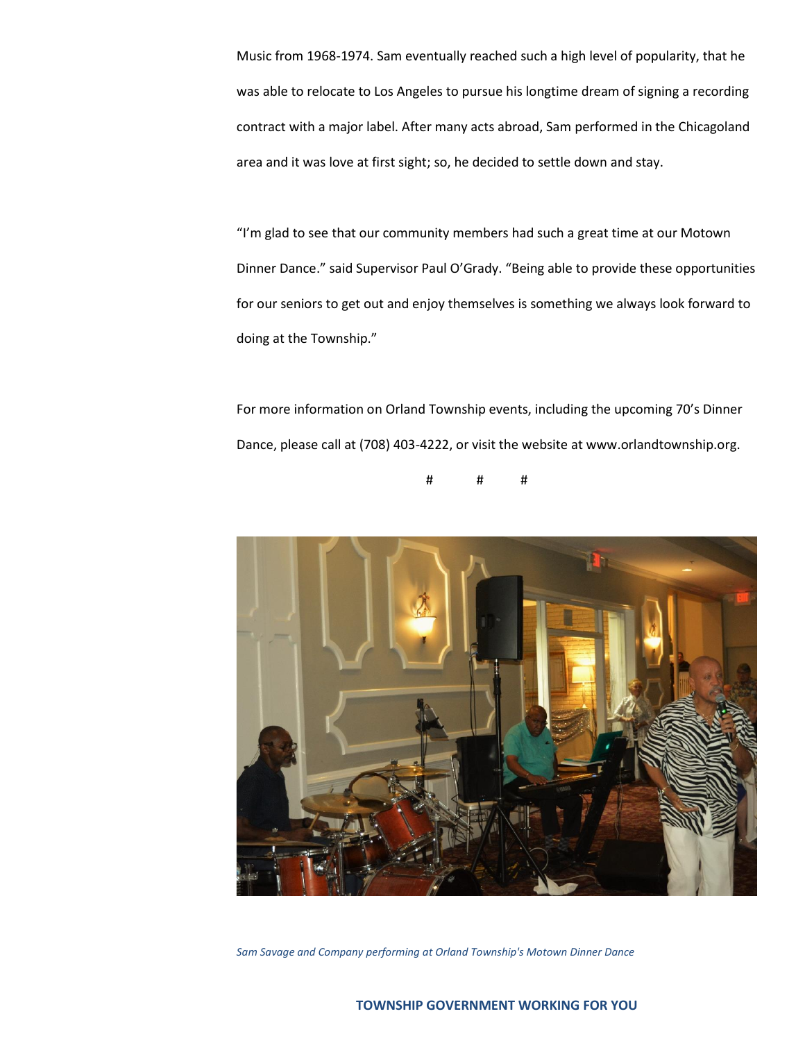Music from 1968-1974. Sam eventually reached such a high level of popularity, that he was able to relocate to Los Angeles to pursue his longtime dream of signing a recording contract with a major label. After many acts abroad, Sam performed in the Chicagoland area and it was love at first sight; so, he decided to settle down and stay.

"I'm glad to see that our community members had such a great time at our Motown Dinner Dance." said Supervisor Paul O'Grady. "Being able to provide these opportunities for our seniors to get out and enjoy themselves is something we always look forward to doing at the Township."

For more information on Orland Township events, including the upcoming 70's Dinner Dance, please call at (708) 403-4222, or visit the website at www.orlandtownship.org.

# # #



*Sam Savage and Company performing at Orland Township's Motown Dinner Dance*

## **TOWNSHIP GOVERNMENT WORKING FOR YOU**